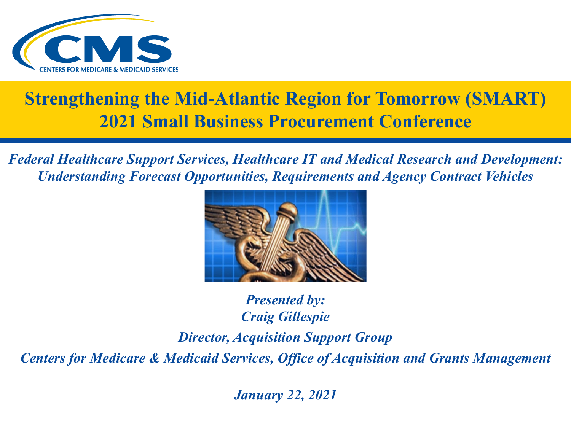

#### **Strengthening the Mid-Atlantic Region for Tomorrow (SMART) 2021 Small Business Procurement Conference**

*Federal Healthcare Support Services, Healthcare IT and Medical Research and Development: Understanding Forecast Opportunities, Requirements and Agency Contract Vehicles* 



*Presented by: Craig Gillespie Director, Acquisition Support Group Centers for Medicare & Medicaid Services, Office of Acquisition and Grants Management*

*January 22, 2021*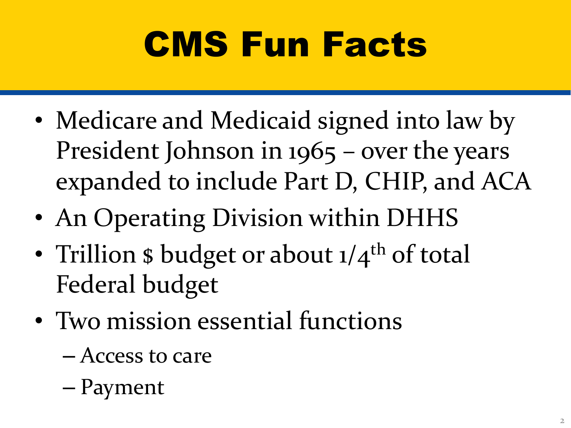# CMS Fun Facts

- Medicare and Medicaid signed into law by President Johnson in 1965 – over the years expanded to include Part D, CHIP, and ACA
- An Operating Division within DHHS
- Trillion  $\phi$  budget or about  $1/4$ <sup>th</sup> of total Federal budget
- Two mission essential functions
	- Access to care
	- Payment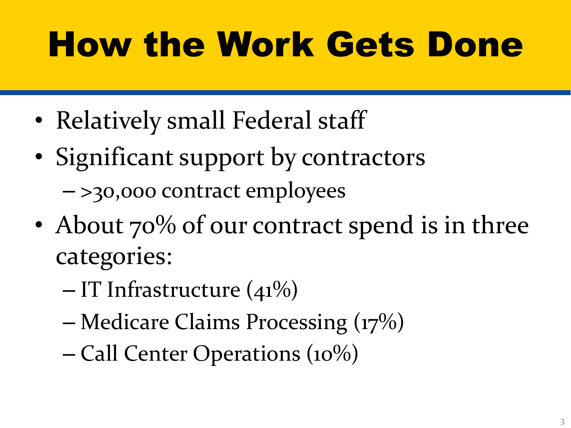## How the Work Gets Done

- Relatively small Federal staff
- Significant support by contractors
	- >30,000 contract employees
- About 70% of our contract spend is in three categories:
	- $-$  IT Infrastructure (41%)
	- Medicare Claims Processing (17%)
	- Call Center Operations (10%)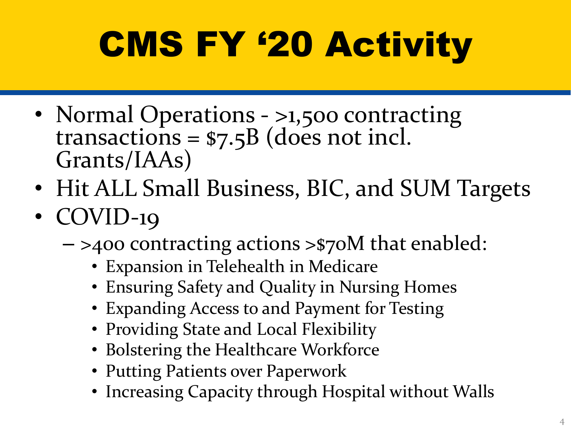# CMS FY '20 Activity

- Normal Operations >1,500 contracting<br>transactions = \$7.5B (does not incl. Grants/IAAs)
- Hit ALL Small Business, BIC, and SUM Targets
- COVID-19
	- >400 contracting actions >\$70M that enabled:
		- Expansion in Telehealth in Medicare
		- Ensuring Safety and Quality in Nursing Homes
		- Expanding Access to and Payment for Testing
		- Providing State and Local Flexibility
		- Bolstering the Healthcare Workforce
		- Putting Patients over Paperwork
		- Increasing Capacity through Hospital without Walls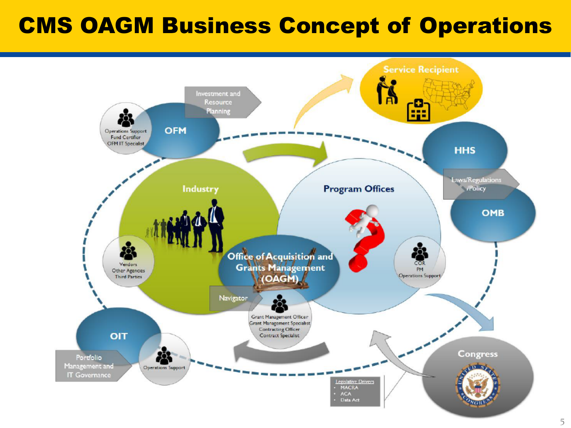### CMS OAGM Business Concept of Operations

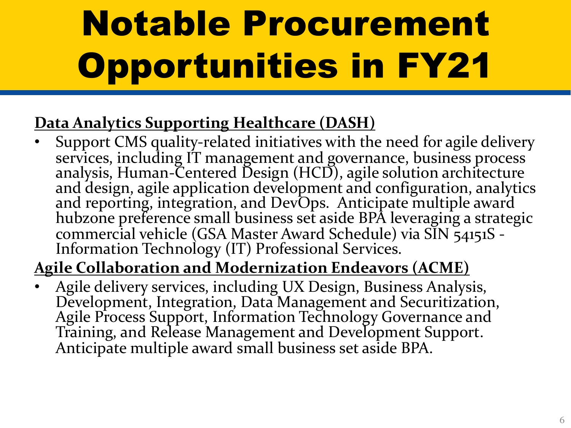# Notable Procurement Opportunities in FY21

#### **Data Analytics Supporting Healthcare (DASH)**

• Support CMS quality-related initiatives with the need for agile delivery services, including IT management and governance, business process analysis, Human-Centered Design (HCD), agile solution architecture analysis, Human-Centered Design (HCD), agile solution architecture<br>and design, agile application development and configuration, analytics and reporting, integration, and DevOps. Anticipate multiple award hubzone preference small business set aside BPA leveraging a strategic commercial vehicle (GSA Master Award Schedule) via SIN 54151S - Information Technology (IT) Professional Services.

#### **Agile Collaboration and Modernization Endeavors (ACME)**

• Agile delivery services, including UX Design, Business Analysis, Development, Integration, Data Management and Securitization, Agile Process Support, Information Technology Governance and Training, and Release Management and Development Support. Anticipate multiple award small business set aside BPA.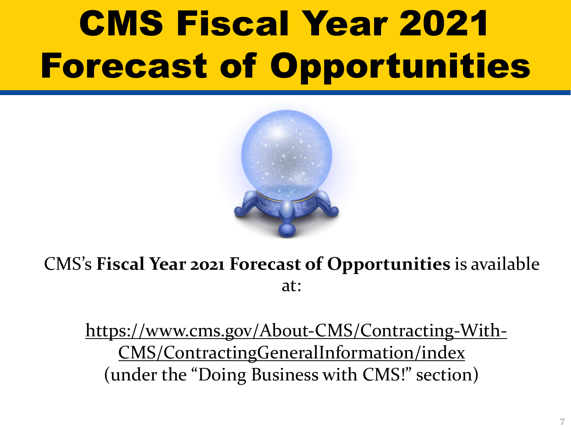## CMS Fiscal Year 2021 **Forecast of Opportuniti**



CMS's Fiscal Year 2021 Forecast of Opportunities is available. at:

https://www.cms.gov/About-CMS/Contracting-Wi CMS/ContractingGeneralInformation/index (under the "Doing Business with CMS!" section)